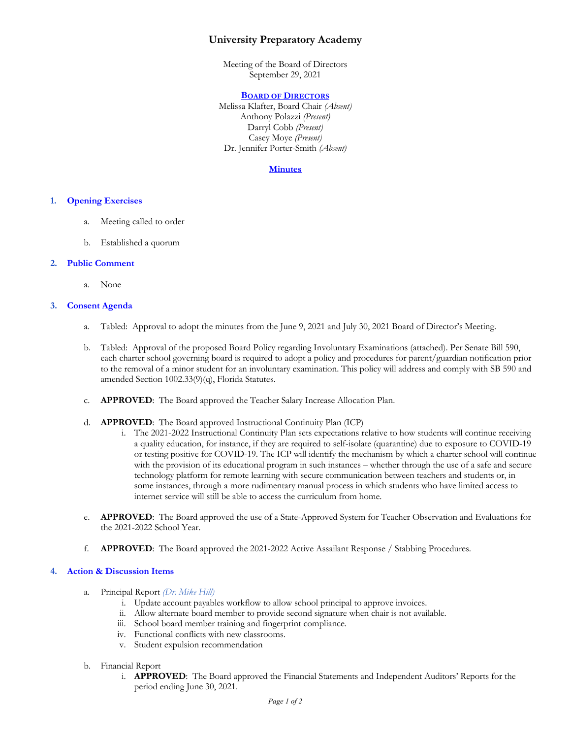# **University Preparatory Academy**

Meeting of the Board of Directors September 29, 2021

#### **BOARD OF DIRECTORS**

Melissa Klafter, Board Chair *(Absent)* Anthony Polazzi *(Present)* Darryl Cobb *(Present)* Casey Moye *(Present)* Dr. Jennifer Porter-Smith *(Absent)*

## **Minutes**

## **1. Opening Exercises**

- a. Meeting called to order
- b. Established a quorum

#### **2. Public Comment**

a. None

# **3. Consent Agenda**

- a. Tabled: Approval to adopt the minutes from the June 9, 2021 and July 30, 2021 Board of Director's Meeting.
- b. Tabled: Approval of the proposed Board Policy regarding Involuntary Examinations (attached). Per Senate Bill 590, each charter school governing board is required to adopt a policy and procedures for parent/guardian notification prior to the removal of a minor student for an involuntary examination. This policy will address and comply with SB 590 and amended Section 1002.33(9)(q), Florida Statutes.
- c. **APPROVED**: The Board approved the Teacher Salary Increase Allocation Plan.
- d. **APPROVED**: The Board approved Instructional Continuity Plan (ICP)
	- i. The 2021-2022 Instructional Continuity Plan sets expectations relative to how students will continue receiving a quality education, for instance, if they are required to self-isolate (quarantine) due to exposure to COVID-19 or testing positive for COVID-19. The ICP will identify the mechanism by which a charter school will continue with the provision of its educational program in such instances – whether through the use of a safe and secure technology platform for remote learning with secure communication between teachers and students or, in some instances, through a more rudimentary manual process in which students who have limited access to internet service will still be able to access the curriculum from home.
- e. **APPROVED**: The Board approved the use of a State-Approved System for Teacher Observation and Evaluations for the 2021-2022 School Year.
- f. **APPROVED**: The Board approved the 2021-2022 Active Assailant Response / Stabbing Procedures.

#### **4. Action & Discussion Items**

- a. Principal Report *(Dr. Mike Hill)*
	- i. Update account payables workflow to allow school principal to approve invoices.
	- ii. Allow alternate board member to provide second signature when chair is not available.
	- iii. School board member training and fingerprint compliance.
	- iv. Functional conflicts with new classrooms.
	- v. Student expulsion recommendation
- b. Financial Report
	- i. **APPROVED**: The Board approved the Financial Statements and Independent Auditors' Reports for the period ending June 30, 2021.